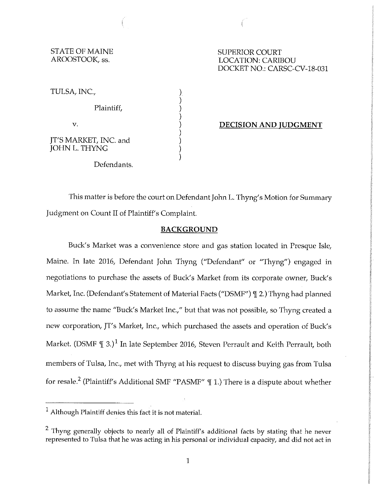# ST ATE OF MAINE SUPERIOR COURT

LOCATION: CARIBOU DOCKET NO.: CARSC-CV-18-031

TULSA, INC.,

Plaintiff,

v.

JT'S MARKET, INC. and JOHN L. THYNG

## ) **DECISION AND JUDGMENT**

Defendants.

This matter is before the court on Defendant John L. Thyng's Motion for Summary Judgment on Count II of Plaintiff's Complaint.

) ) ) )

) ) ) )

## **BACKGROUND**

Buck's Market was a convenience store and gas station located in Presque Isle, Maine. In late 2016, Defendant John Thyng ("Defendant" or "Thyng") engaged in negotiations to purchase the assets of Buck's Market from its corporate owner, Buck's Market, Inc. (Defendant's Statement of Material Facts ("DSMF") ¶ 2.) Thyng had planned to assume the name "Buck's Market Inc.," but that was not possible, so Thyng created a new corporation, JT's Market, Inc., which purchased the assets and operation of Buck's Market. (DSMF  $\mathcal{I}$  3.)<sup>1</sup> In late September 2016, Steven Perrault and Keith Perrault, both members of Tulsa, Inc., met with Thyng at his request to discuss buying gas from Tulsa for resale.<sup>2</sup> (Plaintiff's Additional SMF "PASMF"  $\P$  1.) There is a dispute about whether

 $<sup>1</sup>$  Although Plaintiff denies this fact it is not material.</sup>

<sup>&</sup>lt;sup>2</sup> Thyng generally objects to nearly all of Plaintiff's additional facts by stating that he never represented to Tulsa that he was acting in his personal or individual capacity, and did not act in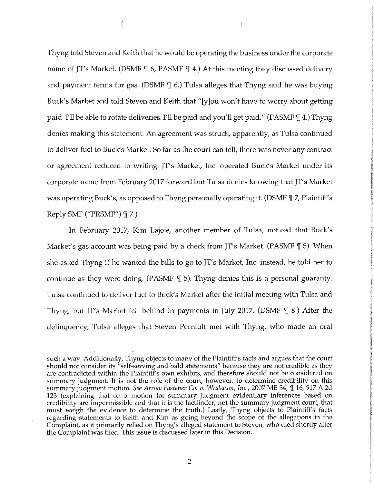Thyng told Steven and Keith that he would be operating the business under the corporate name of JT's Market. (DSMF  $\parallel$  6, PASMF  $\parallel$  4.) At this meeting they discussed delivery and payment terms for gas. (DSMF  $\parallel$  6.) Tulsa alleges that Thyng said he was buying Buck's Market and told Steven and Keith that "[y]ou won't have to worry about getting paid. I'll be able to rotate deliveries. I'll be paid and you'll get paid." (PASMF \[ 4.) Thyng denies making this statement. An agreement was struck, apparently, as Tulsa continued to deliver fuel to Buck's Market. So far as the court can tell, there was never any contract or agreement reduced to writing. JT's Market, Inc. operated Buck's Market under its corporate name from February 2017 forward but Tulsa denies knowing that JT's Market was operating Buck's, as opposed to Thyng personally operating it. (DSMF  $\parallel$  7, Plaintiff's Reply SMF ("PRSMF")  $\P$  7.)

In February 2017, Kim Lajoie, another member of Tulsa, noticed that Buck's Market's gas account was being paid by a check from  $JT$ 's Market. (PASMF  $\mathcal{F}$  5). When she asked Thyng if he wanted the bills to go to JT's Market, Inc. instead, he told her to continue as they were doing. (PASMF  $\parallel$  5). Thyng denies this is a personal guaranty. Tulsa continued to deliver fuel to Buck's Market after the initial meeting with Tulsa and Thyng, but JT's Market fell behind in payments in July 2017. (DSMF  $\parallel$  8.) After the delinquency, Tulsa alleges that Steven Perrault met with Thyng, who made an oral

such a way. Additionally, Thyng objects to many of the Plaintiff's facts and argues that the court should not consider its "self-serving and bald statements" because they are not credible as they are contradicted within the Plaintiff's own exhibits, and therefore should not be considered on summary judgment. It is not the role of the court, however, to determine credibility on this summary judgment motion. See Arrow Fastener Co. v. Wrabacon, Inc., 2007 ME 34, ¶ 16, 917 A.2d 123 (explaining that on a motion for summary judgment evidentiary inferences based on credibility are impermissible and that it is the factfinder, not the summary judgment court, that must weigh the evidence to determine the truth.) Lastly, Thyng objects to Plaintiff's facts regarding statements to Keith and Kim as going beyond the scope of the allegations in the Complaint, as it primarily relied on Thyng's alleged statement to Steven, who died shortly after the Complaint was filed. This issue is discussed later in this Decision.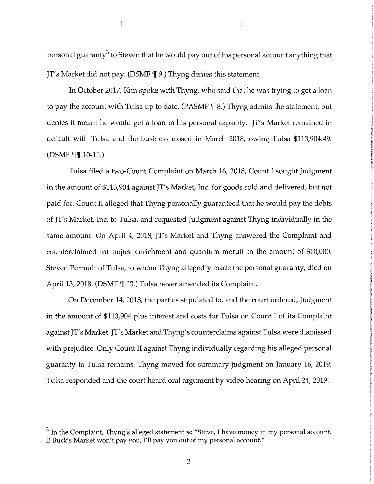personal guaranty<sup>3</sup> to Steven that he would pay out of his personal account anything that JT's Market did not pay. (DSMF {| 9.) Thyng denies this statement.

In October 2017, Kim spoke with Thyng, who said that he was trying to get a loan to pay the account with Tulsa up to date. (PASMF  $\parallel$  8.) Thyng admits the statement, but denies it meant he would get a loan in his personal capacity. JT's Market remained in default with Tulsa and the business closed in March 2018, owing Tulsa \$113,904.49. (DSMF  $\P\P$  10-11.)

Tulsa filed a two-Count Complaint on March 16, 2018. Count I sought Judgment in the amount of \$113,904 against JT's Market, Inc. for goods sold and delivered, but not paid for. Count II alleged that Thyng personally guaranteed that he would pay the debts of JT's Market, Inc. to Tulsa, and requested Judgment against Thyng individually in the same amount. On April 4, 2018, JT's Market and Thyng answered the Complaint and counterclaimed for unjust enrichment and quantum meruit in the amount of \$10,000. Steven Perrault of Tulsa, to whom Thyng allegedly made the personal guaranty, died on April 13, 2018. (DSMF  $\P$  13.) Tulsa never amended its Complaint.

On December 14, 2018, the parties stipulated to, and the court ordered, Judgment in the amount of \$113,904 plus interest and costs for Tulsa on Count I of its Complaint against JT's Market. JT's Market and Thyng's counterclaims against Tulsa were dismissed with prejudice. Only Count II against Thyng individually regarding his alleged personal guaranty to Tulsa remains. Thyng moved for summary judgment on January 16, 2019. Tulsa responded and the court heard oral argument by video hearing on April 24, 2019.

 $3$  In the Complaint, Thyng's alleged statement is: "Steve, I have money in my personal account. If Buck's Market won't pay you, I'll pay you out of my personal account."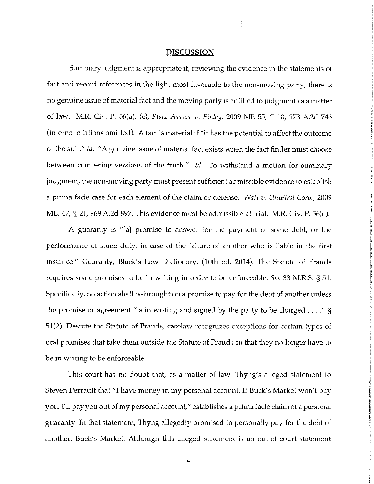#### **DISCUSSION**

Summary judgment is appropriate if, reviewing the evidence in the statements of fact and record references in the light most favorable to the non-moving party, there is no genuine issue of material fact and the moving party is entitled to judgment as a matter of law. M.R. Civ. P. 56(a), (c); *Platz Assocs. v. Finley,* 2009 ME 55, 'j[ 10, 973 A.2d 743 (internal citations omitted). A fact is material if "it has the potential to affect the outcome of the suit." *Id.* "A genuine issue of material fact exists when the fact finder must choose between competing versions of the truth." *Id.* To withstand a motion for summary judgment, the non-moving party must present sufficient admissible evidence to establish a prima fade case for each element of the claim or defense. *Watt v. UniFirst Corp.,* 2009 ME. 47,  $\mathbb{I}$  21, 969 A.2d 897. This evidence must be admissible at trial. M.R. Civ. P. 56(e).

A guaranty is "[a] promise to answer for the payment of some debt, or the performance of some duty, in case of the failure of another who is liable in the first instance." Guaranty, Black's Law Dictionary, (10th ed. 2014). The Statute of Frauds requires some promises to be in writing in order to be enforceable. *See* 33 M.R.S. § 51. Specifically, no action shall be brought on a promise to pay for the debt of another unless the promise or agreement "is in writing and signed by the party to be charged ...." § 51(2). Despite the Statute of Frauds, caselaw recognizes exceptions for certain types of oral promises that take them outside the Statute of Frauds so that they no longer have to be in writing to be enforceable.

This court has no doubt that, as a matter of law, Thyng's alleged statement to Steven Perrault that "I have money in my personal account. If Buck's Market won't pay you, I'll pay you out of my personal account," establishes a prima fade claim of a personal guaranty. In that statement, Thyng allegedly promised to personally pay for the debt of another, Buck's Market. Although this alleged statement is an out-of-court statement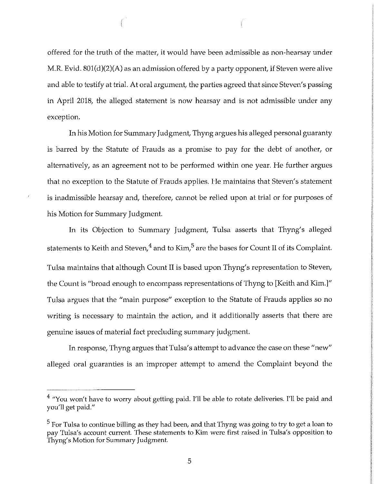offered for the truth of the matter, it would have been admissible as non-hearsay under M.R. Evid. 801(d)(2)(A) as an admission offered by a party opponent, if Steven were alive and able to testify at trial. At oral argument, the parties agreed that since Steven's passing in April 2018, the alleged statement is now hearsay and is not admissible under any exception.

In his Motion for Summary Judgment, Thyng argues his alleged personal guaranty is barred by the Statute of Frauds as a promise to pay for the debt of another, or alternatively, as an agreement not to be performed within one year. He further argues that no exception to the Statute of Frauds applies. He maintains that Steven's statement is inadmissible hearsay and, therefore, cannot be relied upon at trial or for purposes of his Motion for Summary Judgment.

In its Objection to Summary Judgment, Tulsa asserts that Thyng's alleged statements to Keith and Steven, $4$  and to Kim, $5$  are the bases for Count II of its Complaint. Tulsa maintains that although Count II is based upon Thyng's representation to Steven, the Count is "broad enough to encompass representations of Thyng to [Keith and Kim.]" Tulsa argues that the "main purpose" exception to the Statute of Frauds applies so no writing is necessary to maintain the action, and it additionally asserts that there are genuine issues of material fact precluding summary judgment.

In response, Thyng argues that Tulsa's attempt to advance the case on these "new" alleged oral guaranties is an improper attempt to amend the Complaint beyond the

<sup>&</sup>lt;sup>4</sup> "You won't have to worry about getting paid. I'll be able to rotate deliveries. I'll be paid and you'll get paid."

<sup>&</sup>lt;sup>5</sup> For Tulsa to continue billing as they had been, and that Thyng was going to try to get a loan to pay Tulsa's account current. These statements to Kim were first raised in Tulsa's opposition to Thyng's Motion for Summary Judgment.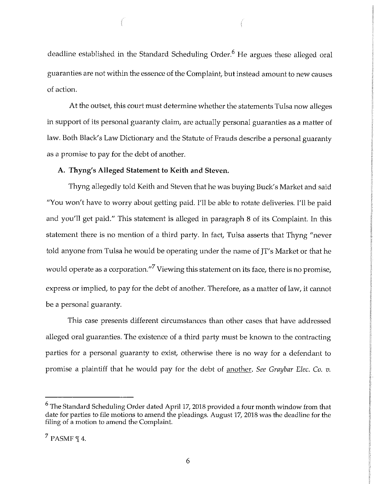deadline established in the Standard Scheduling Order.<sup>6</sup> He argues these alleged oral guaranties are not within the essence of the Complaint, but instead amount to new causes of action.

At the outset, this court must determine whether the statements Tulsa now alleges in support of its personal guaranty claim, are actually personal guaranties as a matter of law. Both Black's Law Dictionary and the Statute of Frauds describe a personal guaranty as a promise to pay for the debt of another.

#### **A. Thyng's Alleged Statement to Keith and Steven.**

Thyng allegedly told Keith and Steven that he was buying Buck's Market and said "You won't have to worry about getting paid. I'll be able to rotate deliveries. I'll be paid and you'll get paid." This statement is alleged in paragraph 8 of its Complaint. In this statement there is no mention of a third party. In fact, Tulsa asserts that Thyng "never told anyone from Tulsa he would be operating under the name of JT's Market or that he would operate as a corporation."<sup>7</sup> Viewing this statement on its face, there is no promise, express or implied, to pay for the debt of another. Therefore, as a matter of law, it cannot be a personal guaranty.

This case presents different circumstances than other cases that have addressed alleged oral guaranties. The existence of a third party must be known to the contracting parties for a personal guaranty to exist, otherwise there is no way for a defendant to promise a plaintiff that he would pay for the debt of another. *See Graybar Elec.* Co. *v.* 

<sup>6</sup> The Standard Scheduling Order dated April 17, 2018 provided a four month window from that date for parties to file motions to amend the pleadings. August 17, 2018 was the deadline for the filing of a motion to amend the Complaint.

 $<sup>7</sup>$  PASMF  $\P$  4.</sup>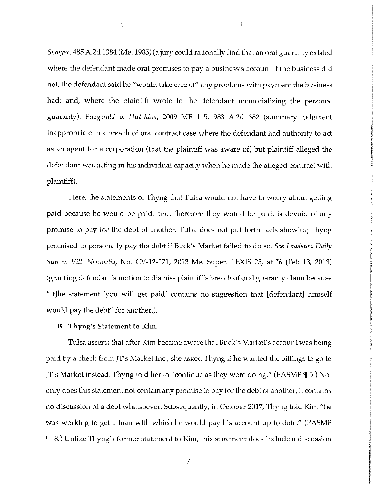*Sawyer,* 485 A.2d 1384 (Me. 1985) (a jury could rationally find that an oral guaranty existed where the defendant made oral promises to pay a business's account if the business did not; the defendant said he "would take care of" any problems with payment the business had; and, where the plaintiff wrote to the defendant memorializing the personal guaranty); *Fitzgerald v. Hutchins,* 2009 ME 115, 983 A.2d 382 (summary judgment inappropriate in a breach of oral contract case where the defendant had authority to act as an agent for a corporation (that the plaintiff was aware of) but plaintiff alleged the defendant was acting in his individual capacity when he made the alleged contract with plaintiff).

Here, the statements of Thyng that Tulsa would not have to worry about getting paid because he would be paid, and, therefore they would be paid, is devoid of any promise to pay for the debt of another. Tulsa does not put forth facts showing Thyng promised to personally pay the debt if Buck's Market failed to do so. *See Lewiston Daily Sun v. Vil/. Ne/media,* No. CV-12-171, 2013 Me. Super. LEXIS 25, at \*6 (Feb 13, 2013) (granting defendant's motion to dismiss plaintiff's breach of oral guaranty claim because "[t]he statement 'you will get paid' contains no suggestion that [defendant] himself would pay the debt" for another.).

#### **B. Thyng's Statement to Kim.**

Tulsa asserts that after Kim became aware that Buck's Market's account was being paid by a check from JT's Market Inc., she asked Thyng if he wanted the billings to go to JT's Market instead. Thyng told her to "continue as they were doing." (PASMF 'I[ 5.) Not only does this statement not contain any promise to pay for the debt of another, it contains no discussion of a debt whatsoever. Subsequently, in October 2017, Thyng told Kim "he was working to get a loan with which he would pay his account up to date." (PASMF 'II 8.) Unlike Thyng's former statement to Kim, this statement does include a discussion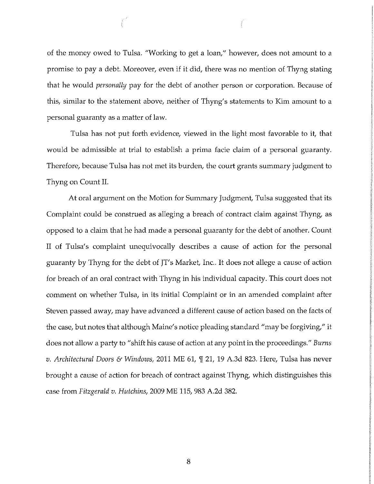of the money owed to Tulsa. "Working to get a loan," however, does not amount to a promise to pay a debt. Moreover, even if it did, there was no mention of Thyng stating that he would *personally* pay for the debt of another person or corporation. Because of this, similar to the statement above, neither of Thyng's statements to Kim amount to a personal guaranty as a matter of law.

Tulsa has not put forth evidence, viewed in the light most favorable to it, that would be admissible at trial to establish a prima facie claim of a personal guaranty. Therefore, because Tulsa has not met its burden, the court grants summary judgment to Thyng on Count II.

At oral argument on the Motion for Summary Judgment, Tulsa suggested that its Complaint could be construed as alleging a breach of contract claim against Thyng, as opposed to a claim that he had made a personal guaranty for the debt of another. Count II of Tulsa's complaint unequivocally describes a cause of action for the personal guaranty by Thyng for the debt of JT's Market, Inc.. It does not allege a cause of action for breach of an oral contract with Thyng in his individual capacity. This court does not comment on whether Tulsa, in its initial Complaint or in an amended complaint after Steven passed away, may have advanced a different cause of action based on the facts of the case, but notes that although Maine's notice pleading standard "may be forgiving," it does not allow a party to "shift his cause of action at any point in the proceedings." *Burns v. Architectural Doors* & *Windows,* 2011 ME 61, 'I[ 21, 19 A.3d 823. Here, Tulsa has never brought a cause of action for breach of contract against Thyng, which distinguishes this case from *Fitzgerald v. Hutchins,* 2009 ME 115, 983 A.2d 382.

8